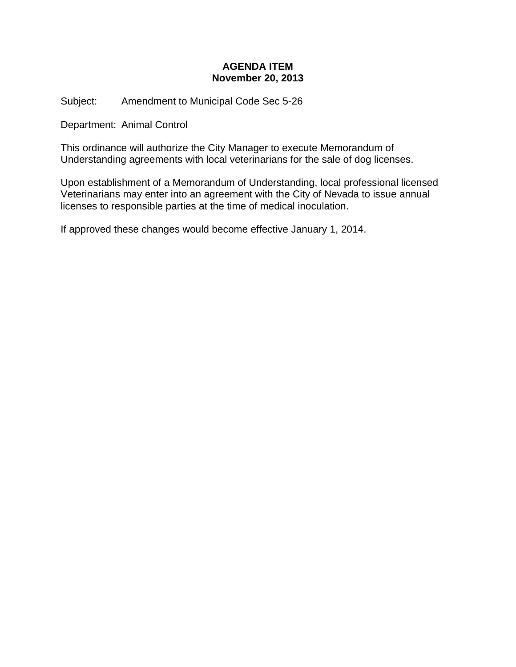# **AGENDA ITEM November 20, 2013**

Subject: Amendment to Municipal Code Sec 5-26

Department: Animal Control

This ordinance will authorize the City Manager to execute Memorandum of Understanding agreements with local veterinarians for the sale of dog licenses.

Upon establishment of a Memorandum of Understanding, local professional licensed Veterinarians may enter into an agreement with the City of Nevada to issue annual licenses to responsible parties at the time of medical inoculation.

If approved these changes would become effective January 1, 2014.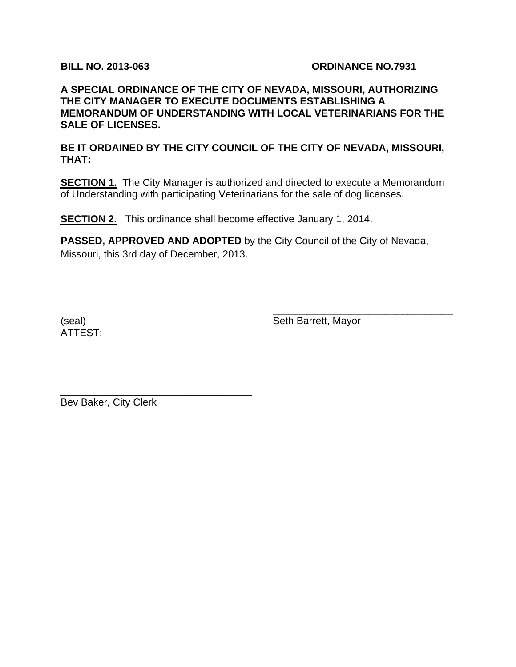# **BILL NO. 2013-063 ORDINANCE NO.7931**

# **A SPECIAL ORDINANCE OF THE CITY OF NEVADA, MISSOURI, AUTHORIZING THE CITY MANAGER TO EXECUTE DOCUMENTS ESTABLISHING A MEMORANDUM OF UNDERSTANDING WITH LOCAL VETERINARIANS FOR THE SALE OF LICENSES.**

**BE IT ORDAINED BY THE CITY COUNCIL OF THE CITY OF NEVADA, MISSOURI, THAT:** 

**SECTION 1.** The City Manager is authorized and directed to execute a Memorandum of Understanding with participating Veterinarians for the sale of dog licenses.

**SECTION 2.** This ordinance shall become effective January 1, 2014.

**PASSED, APPROVED AND ADOPTED** by the City Council of the City of Nevada, Missouri, this 3rd day of December, 2013.

 $\overline{\phantom{a}}$  , which is a set of the set of the set of the set of the set of the set of the set of the set of the set of the set of the set of the set of the set of the set of the set of the set of the set of the set of th

ATTEST:

(seal) Seth Barrett, Mayor

Bev Baker, City Clerk

\_\_\_\_\_\_\_\_\_\_\_\_\_\_\_\_\_\_\_\_\_\_\_\_\_\_\_\_\_\_\_\_\_\_